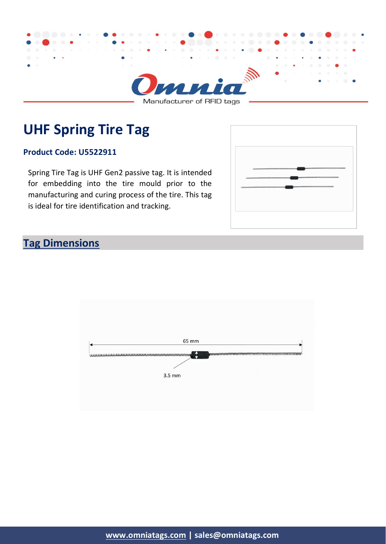

Manufacturer of RFID tags

# **UHF Spring Tire Tag**

#### **Product Code: U5522911**

Spring Tire Tag is UHF Gen2 passive tag. It is intended for embedding into the tire mould prior to the manufacturing and curing process of the tire. This tag is ideal for tire identification and tracking.



#### **Tag Dimensions**

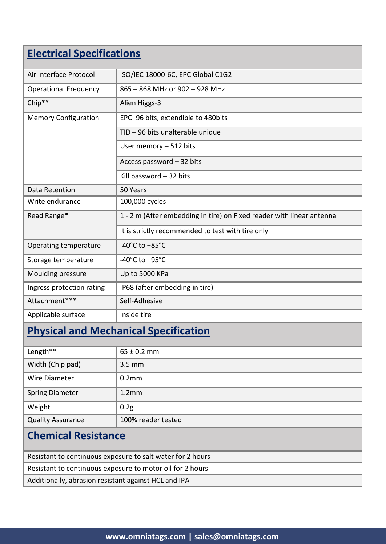## **Electrical Specifications**

| Air Interface Protocol       | ISO/IEC 18000-6C, EPC Global C1G2                                     |
|------------------------------|-----------------------------------------------------------------------|
| <b>Operational Frequency</b> | 865 - 868 MHz or 902 - 928 MHz                                        |
| Chip**                       | Alien Higgs-3                                                         |
| <b>Memory Configuration</b>  | EPC-96 bits, extendible to 480bits                                    |
|                              | TID - 96 bits unalterable unique                                      |
|                              | User memory - 512 bits                                                |
|                              | Access password - 32 bits                                             |
|                              | Kill password $-32$ bits                                              |
| Data Retention               | 50 Years                                                              |
| Write endurance              | 100,000 cycles                                                        |
| Read Range*                  | 1 - 2 m (After embedding in tire) on Fixed reader with linear antenna |
|                              | It is strictly recommended to test with tire only                     |
| Operating temperature        | -40°C to $+85$ °C                                                     |
| Storage temperature          | -40°C to +95°C                                                        |
| Moulding pressure            | Up to 5000 KPa                                                        |
| Ingress protection rating    | IP68 (after embedding in tire)                                        |
| Attachment***                | Self-Adhesive                                                         |
| Applicable surface           | Inside tire                                                           |
|                              |                                                                       |

#### **Physical and Mechanical Specification**

| Length**                 | $65 \pm 0.2$ mm    |
|--------------------------|--------------------|
| Width (Chip pad)         | $3.5 \text{ mm}$   |
| Wire Diameter            | 0.2 <sub>mm</sub>  |
| <b>Spring Diameter</b>   | 1.2 <sub>mm</sub>  |
| Weight                   | 0.2 <sub>g</sub>   |
| <b>Quality Assurance</b> | 100% reader tested |

## **Chemical Resistance**

Resistant to continuous exposure to salt water for 2 hours

Resistant to continuous exposure to motor oil for 2 hours

Additionally, abrasion resistant against HCL and IPA